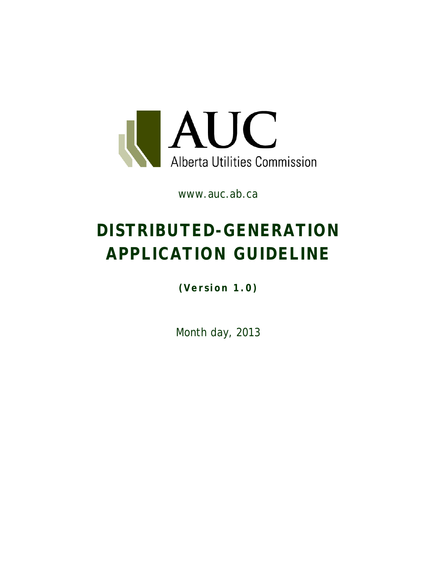

www.auc.ab.ca

# **DISTRIBUTED-GENERATION APPLICATION GUIDELINE**

**(Version 1.0)**

Month day, 2013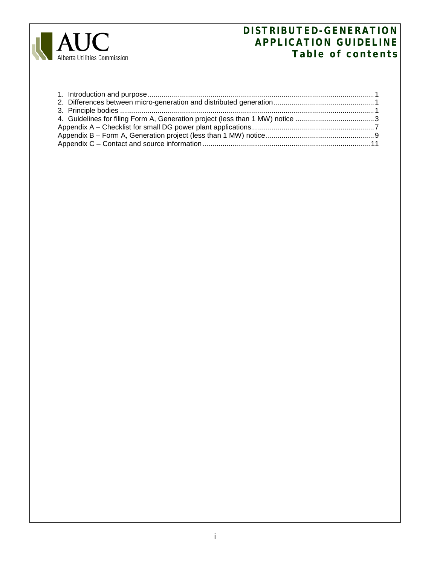

# **DISTRIBUTED-GENERATION APPLICATION GUIDELINE Table of contents**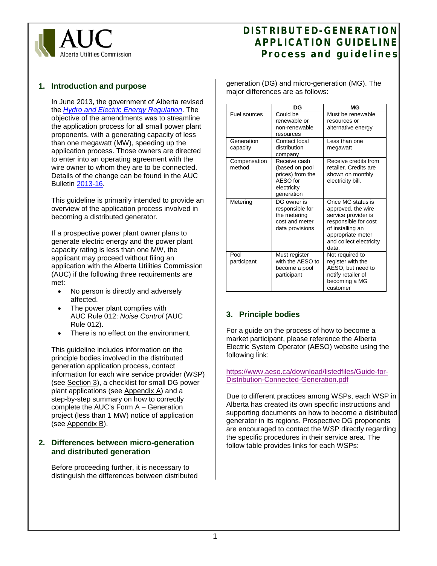

# <span id="page-2-0"></span>**1. Introduction and purpose**

In June 2013, the government of Alberta revised the *[Hydro and Electric Energy Regulation](http://www.qp.alberta.ca/1266.cfm?page=1983_409.cfm&leg_type=Regs&isbncln=0773236775)*. The objective of the amendments was to streamline the application process for all small power plant proponents, with a generating capacity of less than one megawatt (MW), speeding up the application process. Those owners are directed to enter into an operating agreement with the wire owner to whom they are to be connected. Details of the change can be found in the AUC Bulletin [2013-16.](http://www.auc.ab.ca/news-room/bulletins/Bulletins/2013/Bulletin%202013-16.pdf)

This guideline is primarily intended to provide an overview of the application process involved in becoming a distributed generator.

If a prospective power plant owner plans to generate electric energy and the power plant capacity rating is less than one MW, the applicant may proceed without filing an application with the Alberta Utilities Commission (AUC) if the following three requirements are met:

- No person is directly and adversely affected.
- The power plant complies with AUC Rule 012: *Noise Control* (AUC Rule 012).
- There is no effect on the environment.

This guideline includes information on the principle bodies involved in the distributed generation application process, contact information for each wire service provider (WSP) (see [Section](#page-2-2) 3), a checklist for small DG power plant applications (see [Appendix](#page-7-0) A) and a step-by-step summary on how to correctly complete the AUC's Form A – Generation project (less than 1 MW) notice of application (see [Appendix B\)](#page-10-0).

# <span id="page-2-1"></span>**2. Differences between micro-generation and distributed generation**

Before proceeding further, it is necessary to distinguish the differences between distributed generation (DG) and micro-generation (MG). The major differences are as follows:

|                        | DG                                                                                          | МG                                                                                                                                                                  |
|------------------------|---------------------------------------------------------------------------------------------|---------------------------------------------------------------------------------------------------------------------------------------------------------------------|
| Fuel sources           | Could be<br>renewable or<br>non-renewable<br>resources                                      | Must be renewable<br>resources or<br>alternative energy                                                                                                             |
| Generation<br>capacity | Contact local<br>distribution<br>company                                                    | Less than one<br>megawatt                                                                                                                                           |
| Compensation<br>method | Receive cash<br>(based on pool<br>prices) from the<br>AESO for<br>electricity<br>generation | Receive credits from<br>retailer. Credits are<br>shown on monthly<br>electricity bill.                                                                              |
| Metering               | DG owner is<br>responsible for<br>the metering<br>cost and meter<br>data provisions         | Once MG status is<br>approved, the wire<br>service provider is<br>responsible for cost<br>of installing an<br>appropriate meter<br>and collect electricity<br>data. |
| Pool<br>participant    | Must register<br>with the AESO to<br>become a pool<br>participant                           | Not required to<br>register with the<br>AESO, but need to<br>notify retailer of<br>becoming a MG<br>customer                                                        |

# <span id="page-2-2"></span>**3. Principle bodies**

For a guide on the process of how to become a market participant, please reference the Alberta Electric System Operator (AESO) website using the following link:

[https://www.aeso.ca/download/listedfiles/Guide-for-](https://www.aeso.ca/download/listedfiles/Guide-for-Distribution-Connected-Generation.pdf)[Distribution-Connected-Generation.pdf](https://www.aeso.ca/download/listedfiles/Guide-for-Distribution-Connected-Generation.pdf)

Due to different practices among WSPs, each WSP in Alberta has created its own specific instructions and supporting documents on how to become a distributed generator in its regions. Prospective DG proponents are encouraged to contact the WSP directly regarding the specific procedures in their service area. The follow table provides links for each WSPs: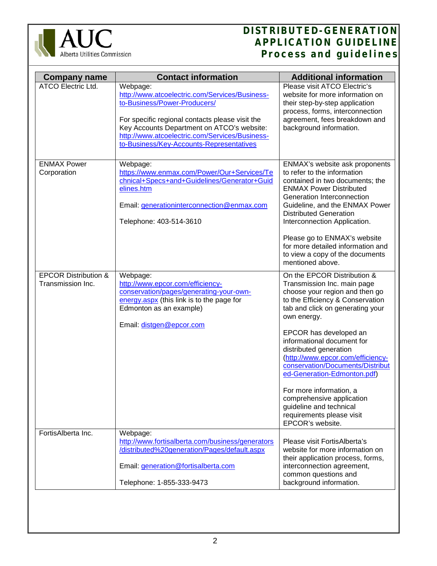

| <b>Company name</b>                                  | <b>Contact information</b>                                                                                                                                                                                                                                                                | <b>Additional information</b>                                                                                                                                                                                                                                                                                                                                                                                                                                                                                     |
|------------------------------------------------------|-------------------------------------------------------------------------------------------------------------------------------------------------------------------------------------------------------------------------------------------------------------------------------------------|-------------------------------------------------------------------------------------------------------------------------------------------------------------------------------------------------------------------------------------------------------------------------------------------------------------------------------------------------------------------------------------------------------------------------------------------------------------------------------------------------------------------|
| <b>ATCO Electric Ltd.</b>                            | Webpage:<br>http://www.atcoelectric.com/Services/Business-<br>to-Business/Power-Producers/<br>For specific regional contacts please visit the<br>Key Accounts Department on ATCO's website:<br>http://www.atcoelectric.com/Services/Business-<br>to-Business/Key-Accounts-Representatives | Please visit ATCO Electric's<br>website for more information on<br>their step-by-step application<br>process, forms, interconnection<br>agreement, fees breakdown and<br>background information.                                                                                                                                                                                                                                                                                                                  |
| <b>ENMAX Power</b><br>Corporation                    | Webpage:<br>https://www.enmax.com/Power/Our+Services/Te<br>chnical+Specs+and+Guidelines/Generator+Guid<br>elines.htm<br>Email: generationinterconnection@enmax.com<br>Telephone: 403-514-3610                                                                                             | ENMAX's website ask proponents<br>to refer to the information<br>contained in two documents; the<br><b>ENMAX Power Distributed</b><br>Generation Interconnection<br>Guideline, and the ENMAX Power<br><b>Distributed Generation</b><br>Interconnection Application.<br>Please go to ENMAX's website<br>for more detailed information and<br>to view a copy of the documents<br>mentioned above.                                                                                                                   |
| <b>EPCOR Distribution &amp;</b><br>Transmission Inc. | Webpage:<br>http://www.epcor.com/efficiency-<br>conservation/pages/generating-your-own-<br>energy.aspx (this link is to the page for<br>Edmonton as an example)<br>Email: distgen@epcor.com                                                                                               | On the EPCOR Distribution &<br>Transmission Inc. main page<br>choose your region and then go<br>to the Efficiency & Conservation<br>tab and click on generating your<br>own energy.<br>EPCOR has developed an<br>informational document for<br>distributed generation<br>(http://www.epcor.com/efficiency-<br>conservation/Documents/Distribut<br>ed-Generation-Edmonton.pdf)<br>For more information, a<br>comprehensive application<br>guideline and technical<br>requirements please visit<br>EPCOR's website. |
| FortisAlberta Inc.                                   | Webpage:<br>http://www.fortisalberta.com/business/generators<br>/distributed%20generation/Pages/default.aspx<br>Email: generation@fortisalberta.com                                                                                                                                       | Please visit FortisAlberta's<br>website for more information on<br>their application process, forms,<br>interconnection agreement,<br>common questions and                                                                                                                                                                                                                                                                                                                                                        |
|                                                      | Telephone: 1-855-333-9473                                                                                                                                                                                                                                                                 | background information.                                                                                                                                                                                                                                                                                                                                                                                                                                                                                           |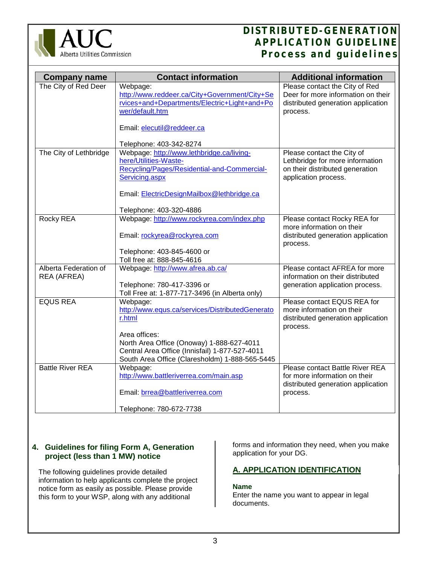

| <b>Company name</b>                  | <b>Contact information</b>                                                                                                                    | <b>Additional information</b>                                                                                            |
|--------------------------------------|-----------------------------------------------------------------------------------------------------------------------------------------------|--------------------------------------------------------------------------------------------------------------------------|
| The City of Red Deer                 | Webpage:<br>http://www.reddeer.ca/City+Government/City+Se<br>rvices+and+Departments/Electric+Light+and+Po<br>wer/default.htm                  | Please contact the City of Red<br>Deer for more information on their<br>distributed generation application<br>process.   |
|                                      | Email: elecutil@reddeer.ca<br>Telephone: 403-342-8274                                                                                         |                                                                                                                          |
| The City of Lethbridge               | Webpage: http://www.lethbridge.ca/living-<br>here/Utilities-Waste-<br>Recycling/Pages/Residential-and-Commercial-<br>Servicing.aspx           | Please contact the City of<br>Lethbridge for more information<br>on their distributed generation<br>application process. |
|                                      | Email: ElectricDesignMailbox@lethbridge.ca<br>Telephone: 403-320-4886                                                                         |                                                                                                                          |
| Rocky REA                            | Webpage: http://www.rockyrea.com/index.php<br>Email: rockyrea@rockyrea.com                                                                    | Please contact Rocky REA for<br>more information on their<br>distributed generation application<br>process.              |
|                                      | Telephone: 403-845-4600 or<br>Toll free at: 888-845-4616                                                                                      |                                                                                                                          |
| Alberta Federation of<br>REA (AFREA) | Webpage: http://www.afrea.ab.ca/<br>Telephone: 780-417-3396 or<br>Toll Free at: 1-877-717-3496 (in Alberta only)                              | Please contact AFREA for more<br>information on their distributed<br>generation application process.                     |
| <b>EQUS REA</b>                      | Webpage:<br>http://www.equs.ca/services/DistributedGenerato<br>r.html<br>Area offices:                                                        | Please contact EQUS REA for<br>more information on their<br>distributed generation application<br>process.               |
|                                      | North Area Office (Onoway) 1-888-627-4011<br>Central Area Office (Innisfail) 1-877-527-4011<br>South Area Office (Claresholdm) 1-888-565-5445 |                                                                                                                          |
| <b>Battle River REA</b>              | Webpage:<br>http://www.battleriverrea.com/main.asp                                                                                            | Please contact Battle River REA<br>for more information on their<br>distributed generation application                   |
|                                      | Email: brrea@battleriverrea.com<br>Telephone: 780-672-7738                                                                                    | process.                                                                                                                 |

# <span id="page-4-0"></span>**4. Guidelines for filing Form A, Generation project (less than 1 MW) notice**

The following guidelines provide detailed information to help applicants complete the project notice form as easily as possible. Please provide this form to your WSP, along with any additional

forms and information they need, when you make application for your DG.

# **A. APPLICATION IDENTIFICATION**

# **Name**

Enter the name you want to appear in legal documents.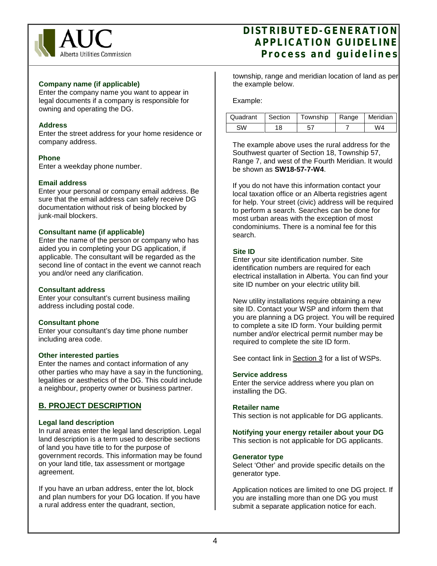

# **Company name (if applicable)**

Enter the company name you want to appear in legal documents if a company is responsible for owning and operating the DG.

#### **Address**

Enter the street address for your home residence or company address.

#### **Phone**

Enter a weekday phone number.

# **Email address**

Enter your personal or company email address. Be sure that the email address can safely receive DG documentation without risk of being blocked by junk-mail blockers.

# **Consultant name (if applicable)**

Enter the name of the person or company who has aided you in completing your DG application, if applicable. The consultant will be regarded as the second line of contact in the event we cannot reach you and/or need any clarification.

#### **Consultant address**

Enter your consultant's current business mailing address including postal code.

#### **Consultant phone**

Enter your consultant's day time phone number including area code.

#### **Other interested parties**

Enter the names and contact information of any other parties who may have a say in the functioning, legalities or aesthetics of the DG. This could include a neighbour, property owner or business partner.

# **B. PROJECT DESCRIPTION**

# **Legal land description**

In rural areas enter the legal land description. Legal land description is a term used to describe sections of land you have title to for the purpose of government records. This information may be found on your land title, tax assessment or mortgage agreement.

If you have an urban address, enter the lot, block and plan numbers for your DG location. If you have a rural address enter the quadrant, section,

township, range and meridian location of land as per the example below.

Example:

| Quadrant | ∣ Section | Township   Range   Meridian |  |
|----------|-----------|-----------------------------|--|
|          |           |                             |  |

The example above uses the rural address for the Southwest quarter of Section 18, Township 57, Range 7, and west of the Fourth Meridian. It would be shown as **SW18-57-7-W4**.

If you do not have this information contact your local taxation office or an Alberta registries agent for help. Your street (civic) address will be required to perform a search. Searches can be done for most urban areas with the exception of most condominiums. There is a nominal fee for this search.

# **Site ID**

Enter your site identification number. Site identification numbers are required for each electrical installation in Alberta. You can find your site ID number on your electric utility bill*.* 

New utility installations require obtaining a new site ID. Contact your WSP and inform them that you are planning a DG project. You will be required to complete a site ID form. Your building permit number and/or electrical permit number may be required to complete the site ID form.

See contact link in [Section 3](#page-2-2) for a list of WSPs.

#### **Service address**

Enter the service address where you plan on installing the DG.

#### **Retailer name**

This section is not applicable for DG applicants.

**Notifying your energy retailer about your DG**  This section is not applicable for DG applicants.

#### **Generator type**

Select 'Other' and provide specific details on the generator type.

Application notices are limited to one DG project. If you are installing more than one DG you must submit a separate application notice for each.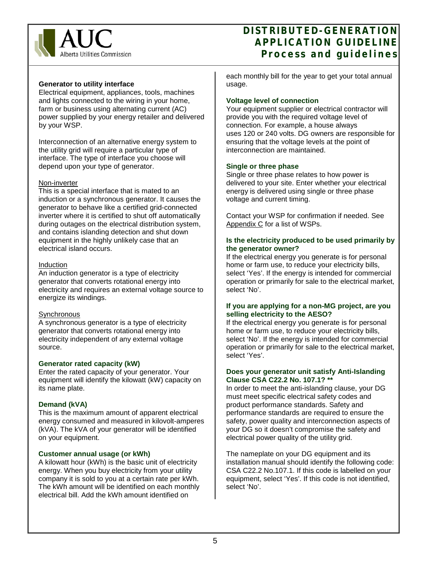

# **Generator to utility interface**

Electrical equipment, appliances, tools, machines and lights connected to the wiring in your home, farm or business using alternating current (AC) power supplied by your energy retailer and delivered by your WSP.

Interconnection of an alternative energy system to the utility grid will require a particular type of interface. The type of interface you choose will depend upon your type of generator.

# Non-inverter

This is a special interface that is mated to an induction or a synchronous generator. It causes the generator to behave like a certified grid-connected inverter where it is certified to shut off automatically during outages on the electrical distribution system, and contains islanding detection and shut down equipment in the highly unlikely case that an electrical island occurs.

# Induction

An induction generator is a type of electricity generator that converts rotational energy into electricity and requires an external voltage source to energize its windings.

# **Synchronous**

A synchronous generator is a type of electricity generator that converts rotational energy into electricity independent of any external voltage source.

# **Generator rated capacity (kW)**

Enter the rated capacity of your generator. Your equipment will identify the kilowatt (kW) capacity on its name plate.

# **Demand (kVA)**

This is the maximum amount of apparent electrical energy consumed and measured in kilovolt-amperes (kVA). The kVA of your generator will be identified on your equipment.

# **Customer annual usage (or kWh)**

A kilowatt hour (kWh) is the basic unit of electricity energy. When you buy electricity from your utility company it is sold to you at a certain rate per kWh. The kWh amount will be identified on each monthly electrical bill. Add the kWh amount identified on

each monthly bill for the year to get your total annual usage.

# **Voltage level of connection**

Your equipment supplier or electrical contractor will provide you with the required voltage level of connection. For example, a house always uses 120 or 240 volts. DG owners are responsible for ensuring that the voltage levels at the point of interconnection are maintained.

# **Single or three phase**

Single or three phase relates to how power is delivered to your site. Enter whether your electrical energy is delivered using single or three phase voltage and current timing.

Contact your WSP for confirmation if needed. See [Appendix C](#page-12-0) for a list of WSPs.

# **Is the electricity produced to be used primarily by the generator owner?**

If the electrical energy you generate is for personal home or farm use, to reduce your electricity bills, select 'Yes'. If the energy is intended for commercial operation or primarily for sale to the electrical market, select 'No'.

#### **If you are applying for a non-MG project, are you selling electricity to the AESO?**

If the electrical energy you generate is for personal home or farm use, to reduce your electricity bills, select 'No'. If the energy is intended for commercial operation or primarily for sale to the electrical market, select 'Yes'.

# **Does your generator unit satisfy Anti-Islanding Clause CSA C22.2 No. 107.1? \*\***

In order to meet the anti-islanding clause, your DG must meet specific electrical safety codes and product performance standards. Safety and performance standards are required to ensure the safety, power quality and interconnection aspects of your DG so it doesn't compromise the safety and electrical power quality of the utility grid.

The nameplate on your DG equipment and its installation manual should identify the following code: CSA C22.2 No.107.1. If this code is labelled on your equipment, select 'Yes'. If this code is not identified, select 'No'.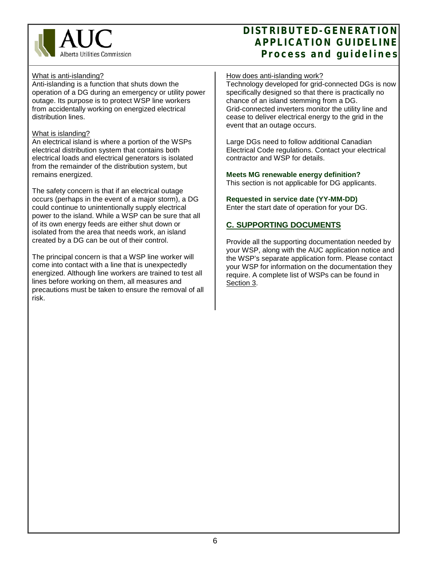

## What is anti-islanding?

Anti-islanding is a function that shuts down the operation of a DG during an emergency or utility power outage. Its purpose is to protect WSP line workers from accidentally working on energized electrical distribution lines.

## What is islanding?

An electrical island is where a portion of the WSPs electrical distribution system that contains both electrical loads and electrical generators is isolated from the remainder of the distribution system, but remains energized.

The safety concern is that if an electrical outage occurs (perhaps in the event of a major storm), a DG could continue to unintentionally supply electrical power to the island. While a WSP can be sure that all of its own energy feeds are either shut down or isolated from the area that needs work, an island created by a DG can be out of their control.

<span id="page-7-0"></span>The principal concern is that a WSP line worker will come into contact with a line that is unexpectedly energized. Although line workers are trained to test all lines before working on them, all measures and precautions must be taken to ensure the removal of all risk.

#### How does anti-islanding work?

Technology developed for grid-connected DGs is now specifically designed so that there is practically no chance of an island stemming from a DG. Grid-connected inverters monitor the utility line and cease to deliver electrical energy to the grid in the event that an outage occurs.

Large DGs need to follow additional Canadian Electrical Code regulations. Contact your electrical contractor and WSP for details.

# **Meets MG renewable energy definition?**

This section is not applicable for DG applicants.

# **Requested in service date (YY-MM-DD)**

Enter the start date of operation for your DG.

# **C. SUPPORTING DOCUMENTS**

Provide all the supporting documentation needed by your WSP, along with the AUC application notice and the WSP's separate application form. Please contact your WSP for information on the documentation they require. A complete list of WSPs can be found in [Section 3.](#page-2-2)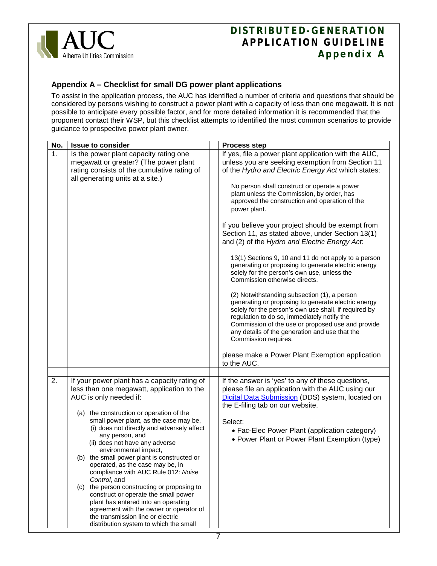

# <span id="page-8-0"></span>**Appendix A – Checklist for small DG power plant applications**

To assist in the application process, the AUC has identified a number of criteria and questions that should be considered by persons wishing to construct a power plant with a capacity of less than one megawatt. It is not possible to anticipate every possible factor, and for more detailed information it is recommended that the proponent contact their WSP, but this checklist attempts to identified the most common scenarios to provide guidance to prospective power plant owner.

| No. | <b>Issue to consider</b>                                                                                                                                                                                                                                                                                                                                                                                                                                                                                                                                                                                                                                                                                                                 | <b>Process step</b>                                                                                                                                                                                                                                                                                                                                                                                                                                                                                                                                                                                                                                                                                                                                                                                                                                                                                                                                                                                                                                                                                     |
|-----|------------------------------------------------------------------------------------------------------------------------------------------------------------------------------------------------------------------------------------------------------------------------------------------------------------------------------------------------------------------------------------------------------------------------------------------------------------------------------------------------------------------------------------------------------------------------------------------------------------------------------------------------------------------------------------------------------------------------------------------|---------------------------------------------------------------------------------------------------------------------------------------------------------------------------------------------------------------------------------------------------------------------------------------------------------------------------------------------------------------------------------------------------------------------------------------------------------------------------------------------------------------------------------------------------------------------------------------------------------------------------------------------------------------------------------------------------------------------------------------------------------------------------------------------------------------------------------------------------------------------------------------------------------------------------------------------------------------------------------------------------------------------------------------------------------------------------------------------------------|
| 1.  | Is the power plant capacity rating one<br>megawatt or greater? (The power plant<br>rating consists of the cumulative rating of<br>all generating units at a site.)                                                                                                                                                                                                                                                                                                                                                                                                                                                                                                                                                                       | If yes, file a power plant application with the AUC,<br>unless you are seeking exemption from Section 11<br>of the Hydro and Electric Energy Act which states:<br>No person shall construct or operate a power<br>plant unless the Commission, by order, has<br>approved the construction and operation of the<br>power plant.<br>If you believe your project should be exempt from<br>Section 11, as stated above, under Section 13(1)<br>and (2) of the Hydro and Electric Energy Act.<br>13(1) Sections 9, 10 and 11 do not apply to a person<br>generating or proposing to generate electric energy<br>solely for the person's own use, unless the<br>Commission otherwise directs.<br>(2) Notwithstanding subsection (1), a person<br>generating or proposing to generate electric energy<br>solely for the person's own use shall, if required by<br>regulation to do so, immediately notify the<br>Commission of the use or proposed use and provide<br>any details of the generation and use that the<br>Commission requires.<br>please make a Power Plant Exemption application<br>to the AUC. |
|     |                                                                                                                                                                                                                                                                                                                                                                                                                                                                                                                                                                                                                                                                                                                                          |                                                                                                                                                                                                                                                                                                                                                                                                                                                                                                                                                                                                                                                                                                                                                                                                                                                                                                                                                                                                                                                                                                         |
| 2.  | If your power plant has a capacity rating of<br>less than one megawatt, application to the<br>AUC is only needed if:<br>(a) the construction or operation of the<br>small power plant, as the case may be,<br>(i) does not directly and adversely affect<br>any person, and<br>(ii) does not have any adverse<br>environmental impact,<br>(b) the small power plant is constructed or<br>operated, as the case may be, in<br>compliance with AUC Rule 012: Noise<br>Control, and<br>(c) the person constructing or proposing to<br>construct or operate the small power<br>plant has entered into an operating<br>agreement with the owner or operator of<br>the transmission line or electric<br>distribution system to which the small | If the answer is 'yes' to any of these questions,<br>please file an application with the AUC using our<br>Digital Data Submission (DDS) system, located on<br>the E-filing tab on our website.<br>Select:<br>• Fac-Elec Power Plant (application category)<br>• Power Plant or Power Plant Exemption (type)                                                                                                                                                                                                                                                                                                                                                                                                                                                                                                                                                                                                                                                                                                                                                                                             |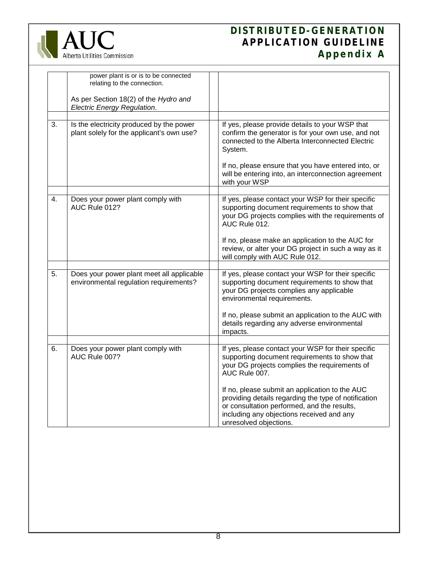

# **DISTRIBUTED-GENERATION APPLICATION GUIDELINE Appendix A**

|    | power plant is or is to be connected<br>relating to the connection.<br>As per Section 18(2) of the Hydro and<br><b>Electric Energy Regulation.</b> |                                                                                                                                                                                                                                                                                                                                                                                                       |
|----|----------------------------------------------------------------------------------------------------------------------------------------------------|-------------------------------------------------------------------------------------------------------------------------------------------------------------------------------------------------------------------------------------------------------------------------------------------------------------------------------------------------------------------------------------------------------|
| 3. | Is the electricity produced by the power<br>plant solely for the applicant's own use?                                                              | If yes, please provide details to your WSP that<br>confirm the generator is for your own use, and not<br>connected to the Alberta Interconnected Electric<br>System.<br>If no, please ensure that you have entered into, or<br>will be entering into, an interconnection agreement<br>with your WSP                                                                                                   |
| 4. | Does your power plant comply with<br>AUC Rule 012?                                                                                                 | If yes, please contact your WSP for their specific<br>supporting document requirements to show that<br>your DG projects complies with the requirements of<br>AUC Rule 012.<br>If no, please make an application to the AUC for<br>review, or alter your DG project in such a way as it<br>will comply with AUC Rule 012.                                                                              |
| 5. | Does your power plant meet all applicable<br>environmental regulation requirements?                                                                | If yes, please contact your WSP for their specific<br>supporting document requirements to show that<br>your DG projects complies any applicable<br>environmental requirements.<br>If no, please submit an application to the AUC with<br>details regarding any adverse environmental<br>impacts.                                                                                                      |
| 6. | Does your power plant comply with<br>AUC Rule 007?                                                                                                 | If yes, please contact your WSP for their specific<br>supporting document requirements to show that<br>your DG projects complies the requirements of<br>AUC Rule 007.<br>If no, please submit an application to the AUC<br>providing details regarding the type of notification<br>or consultation performed, and the results,<br>including any objections received and any<br>unresolved objections. |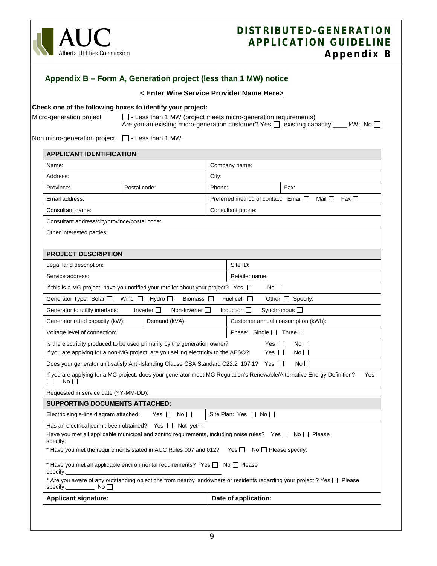

<span id="page-10-0"></span>

|                                                                                                                                                                                                                                                                 | Appendix B – Form A, Generation project (less than 1 MW) notice                        |                                                                                                                         |
|-----------------------------------------------------------------------------------------------------------------------------------------------------------------------------------------------------------------------------------------------------------------|----------------------------------------------------------------------------------------|-------------------------------------------------------------------------------------------------------------------------|
|                                                                                                                                                                                                                                                                 |                                                                                        | < Enter Wire Service Provider Name Here>                                                                                |
| Check one of the following boxes to identify your project:<br>□ - Less than 1 MW (project meets micro-generation requirements)<br>Micro-generation project<br>Are you an existing micro-generation customer? Yes $\Box$ , existing capacity: ____ kW; No $\Box$ |                                                                                        |                                                                                                                         |
| Non micro-generation project $\Box$ - Less than 1 MW                                                                                                                                                                                                            |                                                                                        |                                                                                                                         |
| <b>APPLICANT IDENTIFICATION</b>                                                                                                                                                                                                                                 |                                                                                        |                                                                                                                         |
| Name:                                                                                                                                                                                                                                                           |                                                                                        | Company name:                                                                                                           |
| Address:                                                                                                                                                                                                                                                        |                                                                                        | City:                                                                                                                   |
| Province:                                                                                                                                                                                                                                                       | Postal code:                                                                           | Fax:<br>Phone:                                                                                                          |
| Email address:                                                                                                                                                                                                                                                  |                                                                                        | Preferred method of contact: Email □<br>Fax □<br>Mail □                                                                 |
| Consultant name:                                                                                                                                                                                                                                                |                                                                                        | Consultant phone:                                                                                                       |
| Consultant address/city/province/postal code:                                                                                                                                                                                                                   |                                                                                        |                                                                                                                         |
| Other interested parties:                                                                                                                                                                                                                                       |                                                                                        |                                                                                                                         |
| <b>PROJECT DESCRIPTION</b>                                                                                                                                                                                                                                      |                                                                                        |                                                                                                                         |
| Legal land description:                                                                                                                                                                                                                                         |                                                                                        | Site ID:                                                                                                                |
| Service address:<br>Retailer name:<br>If this is a MG project, have you notified your retailer about your project? Yes $\Box$<br>No                                                                                                                             |                                                                                        |                                                                                                                         |
|                                                                                                                                                                                                                                                                 |                                                                                        |                                                                                                                         |
| Generator Type: Solar □                                                                                                                                                                                                                                         | Wind $\Box$<br>Hydro □<br>Biomass $\square$                                            | Other $\Box$ Specify:<br>Fuel cell $\Box$                                                                               |
| Generator to utility interface:                                                                                                                                                                                                                                 | Inverter $\square$<br>Non-Inverter $\Box$                                              | Synchronous □<br>Induction $\Box$                                                                                       |
| Generator rated capacity (kW):                                                                                                                                                                                                                                  | Demand (kVA):                                                                          | Customer annual consumption (kWh):                                                                                      |
| Voltage level of connection:                                                                                                                                                                                                                                    |                                                                                        | Phase: Single $\Box$ Three $\Box$                                                                                       |
| Is the electricity produced to be used primarily by the generation owner?<br>Yes $\Box$<br>No $\Box$<br>If you are applying for a non-MG project, are you selling electricity to the AESO?<br>Yes $\Box$<br>No $\square$                                        |                                                                                        |                                                                                                                         |
|                                                                                                                                                                                                                                                                 | Does your generator unit satisfy Anti-Islanding Clause CSA Standard C22.2 107.1? Yes □ | $No$ $\Box$                                                                                                             |
| If you are applying for a MG project, does your generator meet MG Regulation's Renewable/Alternative Energy Definition?<br>Yes<br>No <sub>1</sub><br>П                                                                                                          |                                                                                        |                                                                                                                         |
| Requested in service date (YY-MM-DD):                                                                                                                                                                                                                           |                                                                                        |                                                                                                                         |
| <b>SUPPORTING DOCUMENTS ATTACHED:</b>                                                                                                                                                                                                                           |                                                                                        |                                                                                                                         |
| Electric single-line diagram attached:                                                                                                                                                                                                                          | No $\square$<br>Yes $\Box$                                                             | Site Plan: Yes $\Box$ No $\Box$                                                                                         |
| specify:                                                                                                                                                                                                                                                        | Has an electrical permit been obtained? Yes $\Box$ Not yet $\Box$                      | Have you met all applicable municipal and zoning requirements, including noise rules? Yes $\Box$ No $\Box$ Please       |
|                                                                                                                                                                                                                                                                 |                                                                                        | * Have you met the requirements stated in AUC Rules 007 and 012? Yes $\Box$ No $\Box$ Please specify:                   |
| specify:                                                                                                                                                                                                                                                        | * Have you met all applicable environmental requirements? Yes $\Box$ No $\Box$ Please  |                                                                                                                         |
| specify:<br>No $\Box$                                                                                                                                                                                                                                           |                                                                                        | * Are you aware of any outstanding objections from nearby landowners or residents regarding your project ? Yes D Please |
| <b>Applicant signature:</b>                                                                                                                                                                                                                                     |                                                                                        | Date of application:                                                                                                    |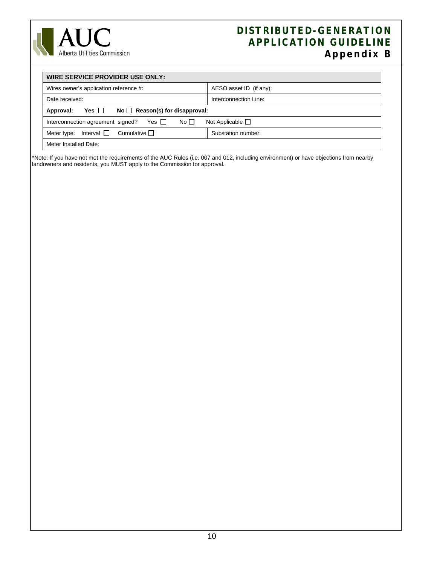

# **DISTRIBUTED-GENERATION APPLICATION GUIDELINE Appendix B**

| WIRE SERVICE PROVIDER USE ONLY:                                                       |                         |  |
|---------------------------------------------------------------------------------------|-------------------------|--|
| Wires owner's application reference #:                                                | AESO asset ID (if any): |  |
| Date received:                                                                        | Interconnection Line:   |  |
| Yes $\Box$<br>$No \bigcap$ Reason(s) for disapproval:<br>Approval:                    |                         |  |
| Yes $\Box$<br>No $\Box$<br>Not Applicable $\Box$<br>Interconnection agreement signed? |                         |  |
| Interval $\Box$<br>Cumulative $\Box$<br>Meter type:                                   | Substation number:      |  |
| Meter Installed Date:                                                                 |                         |  |

\*Note: If you have not met the requirements of the AUC Rules (i.e. 007 and 012, including environment) or have objections from nearby landowners and residents, you MUST apply to the Commission for approval.